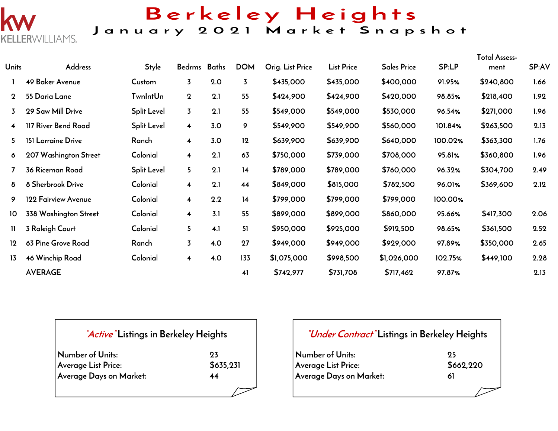

## Berkeley Heights

### January 2021 Market Snapshot

| Units          | Address               | Style           | Bedrms Baths            |     | <b>DOM</b>     | Orig. List Price | <b>List Price</b> | <b>Sales Price</b> | <b>SP:LP</b> | Total Assess-<br>ment | SP:AV |
|----------------|-----------------------|-----------------|-------------------------|-----|----------------|------------------|-------------------|--------------------|--------------|-----------------------|-------|
|                | 49 Baker Avenue       | Custom          | $\overline{3}$          | 2.0 | $\overline{3}$ | \$435,000        | \$435,000         | \$400,000          | 91.95%       | \$240,800             | 1.66  |
| $\mathbf 2$    | 55 Daria Lane         | <b>TwnIntUn</b> | $\mathbf 2$             | 2.1 | 55             | \$424,900        | \$424,900         | \$420,000          | 98.85%       | \$218,400             | 1.92  |
| 3              | 29 Saw Mill Drive     | Split Level     | $\overline{3}$          | 2.1 | 55             | \$549,000        | \$549,000         | \$530,000          | 96.54%       | \$271,000             | 1.96  |
| $\overline{4}$ | 117 River Bend Road   | Split Level     | $\overline{\mathbf{4}}$ | 3.0 | 9              | \$549,900        | \$549,900         | \$560,000          | 101.84%      | \$263,500             | 2.13  |
| 5.             | 151 Lorraine Drive    | Ranch           | $\overline{\mathbf{4}}$ | 3.0 | 12             | \$639,900        | \$639,900         | \$640,000          | 100.02%      | \$363,300             | 1.76  |
| 6              | 207 Washington Street | Colonial        | $\overline{\mathbf{4}}$ | 2.1 | 63             | \$750,000        | \$739,000         | \$708,000          | 95.81%       | \$360,800             | 1.96  |
| $\overline{ }$ | 36 Riceman Road       | Split Level     | 5                       | 2.1 | 14             | \$789,000        | \$789,000         | \$760,000          | 96.32%       | \$304,700             | 2.49  |
| 8              | 8 Sherbrook Drive     | Colonial        | $\overline{\mathbf{4}}$ | 2.1 | 44             | \$849,000        | \$815,000         | \$782,500          | 96.01%       | \$369,600             | 2.12  |
| 9              | 122 Fairview Avenue   | Colonial        | $\overline{\mathbf{4}}$ | 2.2 | 14             | \$799,000        | \$799,000         | \$799,000          | 100.00%      |                       |       |
| 10             | 338 Washington Street | Colonial        | $\overline{\mathbf{4}}$ | 3.1 | 55             | \$899,000        | \$899,000         | \$860,000          | 95.66%       | \$417,300             | 2.06  |
| 11             | 3 Raleigh Court       | Colonial        | 5                       | 4.1 | 51             | \$950,000        | \$925,000         | \$912,500          | 98.65%       | \$361,500             | 2.52  |
| 12             | 63 Pine Grove Road    | Ranch           | 3                       | 4.0 | 27             | \$949,000        | \$949,000         | \$929,000          | 97.89%       | \$350,000             | 2.65  |
| 13             | 46 Winchip Road       | Colonial        | 4                       | 4.0 | 133            | \$1,075,000      | \$998,500         | \$1,026,000        | 102.75%      | \$449,100             | 2.28  |
|                | <b>AVERAGE</b>        |                 |                         |     | 41             | \$742,977        | \$731,708         | \$717,462          | 97.87%       |                       | 2.13  |

| <i>Active</i> Listings in Berkeley Heights |           |
|--------------------------------------------|-----------|
| Number of Units:                           | りろ        |
| Average List Price:                        | \$635.931 |

**Average List Price: Average Days on Market: 44**

## **"Under Contract" Listings in Berkeley Heights**

| Number of Units:        | -95       |
|-------------------------|-----------|
| Average List Price:     | \$662,220 |
| Average Days on Market: | 61        |